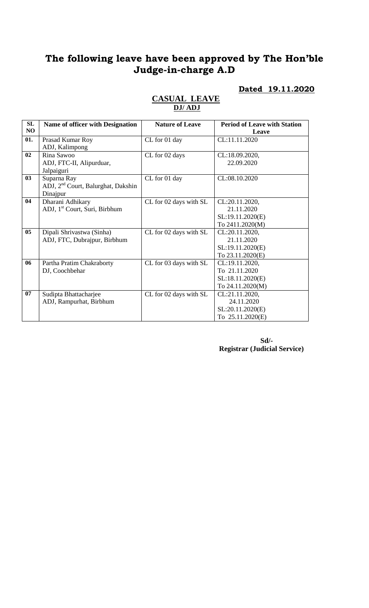# **The following leave have been approved by The Hon'ble Judge-in-charge A.D**

# **Dated 19.11.2020**

| SL             | Name of officer with Designation               | <b>Nature of Leave</b> | <b>Period of Leave with Station</b> |
|----------------|------------------------------------------------|------------------------|-------------------------------------|
| NO             |                                                |                        | Leave                               |
| 01.            | Prasad Kumar Roy                               | CL for 01 day          | CL:11.11.2020                       |
|                | ADJ, Kalimpong                                 |                        |                                     |
| 02             | Rina Sawoo                                     | CL for 02 days         | CL:18.09.2020,                      |
|                | ADJ, FTC-II, Alipurduar,                       |                        | 22.09.2020                          |
|                | Jalpaiguri                                     |                        |                                     |
| 0 <sub>3</sub> | Suparna Ray                                    | CL for 01 day          | CL:08.10.2020                       |
|                | ADJ, 2 <sup>nd</sup> Court, Balurghat, Dakshin |                        |                                     |
|                | Dinajpur                                       |                        |                                     |
| 04             | Dharani Adhikary                               | CL for 02 days with SL | CL:20.11.2020,                      |
|                | ADJ, 1 <sup>st</sup> Court, Suri, Birbhum      |                        | 21.11.2020                          |
|                |                                                |                        | SL:19.11.2020(E)                    |
|                |                                                |                        | To 2411.2020(M)                     |
| 0 <sub>5</sub> | Dipali Shrivastwa (Sinha)                      | CL for 02 days with SL | CL:20.11.2020,                      |
|                | ADJ, FTC, Dubrajpur, Birbhum                   |                        | 21.11.2020                          |
|                |                                                |                        | SL:19.11.2020(E)                    |
|                |                                                |                        | To 23.11.2020(E)                    |
| 06             | Partha Pratim Chakraborty                      | CL for 03 days with SL | CL:19.11.2020,                      |
|                | DJ, Coochbehar                                 |                        | To 21.11.2020                       |
|                |                                                |                        | SL:18.11.2020(E)                    |
|                |                                                |                        | To 24.11.2020(M)                    |
| 07             | Sudipta Bhattacharjee                          | CL for 02 days with SL | CL:21.11.2020,                      |
|                | ADJ, Rampurhat, Birbhum                        |                        | 24.11.2020                          |
|                |                                                |                        | SL:20.11.2020(E)                    |
|                |                                                |                        | To 25.11.2020(E)                    |

### **CASUAL LEAVE DJ/ ADJ**

**Sd/- Registrar (Judicial Service)**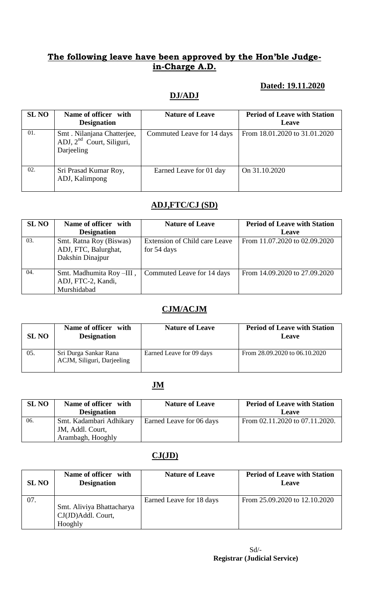## **The following leave have been approved by the Hon'ble Judgein-Charge A.D.**

### **Dated: 19.11.2020**

#### **DJ/ADJ**

| <b>SL NO</b> | Name of officer with<br><b>Designation</b>                                        | <b>Nature of Leave</b>     | <b>Period of Leave with Station</b><br>Leave |
|--------------|-----------------------------------------------------------------------------------|----------------------------|----------------------------------------------|
| 01.          | Smt. Nilanjana Chatterjee,<br>ADJ, 2 <sup>nd</sup> Court, Siliguri,<br>Darjeeling | Commuted Leave for 14 days | From 18.01.2020 to 31.01.2020                |
| 02.          | Sri Prasad Kumar Roy,<br>ADJ, Kalimpong                                           | Earned Leave for 01 day    | On 31.10.2020                                |

## **ADJ,FTC/CJ (SD)**

| <b>SL NO</b> | Name of officer with                                                | <b>Nature of Leave</b>                       | <b>Period of Leave with Station</b> |
|--------------|---------------------------------------------------------------------|----------------------------------------------|-------------------------------------|
|              | <b>Designation</b>                                                  |                                              | Leave                               |
| 03.          | Smt. Ratna Roy (Biswas)<br>ADJ, FTC, Balurghat,<br>Dakshin Dinajpur | Extension of Child care Leave<br>for 54 days | From 11.07.2020 to 02.09.2020       |
| 04.          | Smt. Madhumita Roy-III,<br>ADJ, FTC-2, Kandi,<br>Murshidabad        | Commuted Leave for 14 days                   | From 14.09.2020 to 27.09.2020       |

### **CJM/ACJM**

| <b>SL NO</b> | Name of officer with<br><b>Designation</b>          | <b>Nature of Leave</b>   | <b>Period of Leave with Station</b><br>Leave |
|--------------|-----------------------------------------------------|--------------------------|----------------------------------------------|
| 05.          | Sri Durga Sankar Rana<br>ACJM, Siliguri, Darjeeling | Earned Leave for 09 days | From 28.09.2020 to 06.10.2020                |

#### **JM**

| <b>SL NO</b> | Name of officer with    | <b>Nature of Leave</b>   | <b>Period of Leave with Station</b> |
|--------------|-------------------------|--------------------------|-------------------------------------|
|              | <b>Designation</b>      |                          | Leave                               |
| 06.          | Smt. Kadambari Adhikary | Earned Leave for 06 days | From 02.11.2020 to 07.11.2020.      |
|              | JM, Addl. Court,        |                          |                                     |
|              | Arambagh, Hooghly       |                          |                                     |

## **CJ(JD)**

| <b>SL NO</b> | Name of officer with<br><b>Designation</b>                 | <b>Nature of Leave</b>   | <b>Period of Leave with Station</b><br>Leave |
|--------------|------------------------------------------------------------|--------------------------|----------------------------------------------|
| 07.          | Smt. Aliviya Bhattacharya<br>CJ(JD)Addl. Court,<br>Hooghly | Earned Leave for 18 days | From 25.09.2020 to 12.10.2020                |